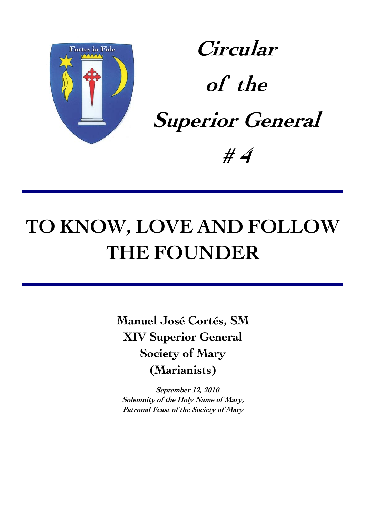

**Circular of the Superior General # 4**

# **TO KNOW, LOVE AND FOLLOW THE FOUNDER**

**Manuel José Cortés, SM XIV Superior General Society of Mary (Marianists)** 

**September 12, 2010 Solemnity of the Holy Name of Mary, Patronal Feast of the Society of Mary**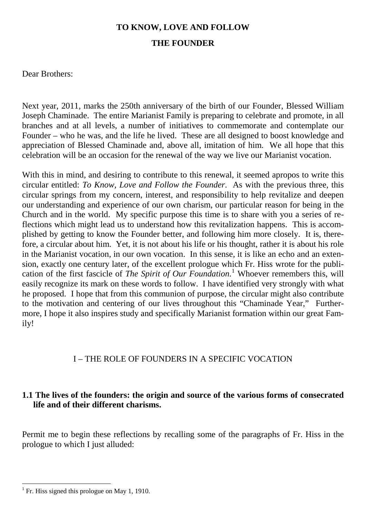## **TO KNOW, LOVE AND FOLLOW THE FOUNDER**

Dear Brothers:

Next year, 2011, marks the 250th anniversary of the birth of our Founder, Blessed William Joseph Chaminade. The entire Marianist Family is preparing to celebrate and promote, in all branches and at all levels, a number of initiatives to commemorate and contemplate our Founder – who he was, and the life he lived. These are all designed to boost knowledge and appreciation of Blessed Chaminade and, above all, imitation of him. We all hope that this celebration will be an occasion for the renewal of the way we live our Marianist vocation.

With this in mind, and desiring to contribute to this renewal, it seemed apropos to write this circular entitled: *To Know, Love and Follow the Founder*. As with the previous three, this circular springs from my concern, interest, and responsibility to help revitalize and deepen our understanding and experience of our own charism, our particular reason for being in the Church and in the world. My specific purpose this time is to share with you a series of reflections which might lead us to understand how this revitalization happens. This is accomplished by getting to know the Founder better, and following him more closely. It is, therefore, a circular about him. Yet, it is not about his life or his thought, rather it is about his role in the Marianist vocation, in our own vocation. In this sense, it is like an echo and an extension, exactly one century later, of the excellent prologue which Fr. Hiss wrote for the publication of the first fascicle of *The Spirit of Our Foundation.* [1](#page-2-0) Whoever remembers this, will easily recognize its mark on these words to follow. I have identified very strongly with what he proposed. I hope that from this communion of purpose, the circular might also contribute to the motivation and centering of our lives throughout this "Chaminade Year," Furthermore, I hope it also inspires study and specifically Marianist formation within our great Family!

## I – THE ROLE OF FOUNDERS IN A SPECIFIC VOCATION

## **1.1 The lives of the founders: the origin and source of the various forms of consecrated life and of their different charisms.**

Permit me to begin these reflections by recalling some of the paragraphs of Fr. Hiss in the prologue to which I just alluded:

<span id="page-2-0"></span><sup>&</sup>lt;sup>1</sup> Fr. Hiss signed this prologue on May 1, 1910.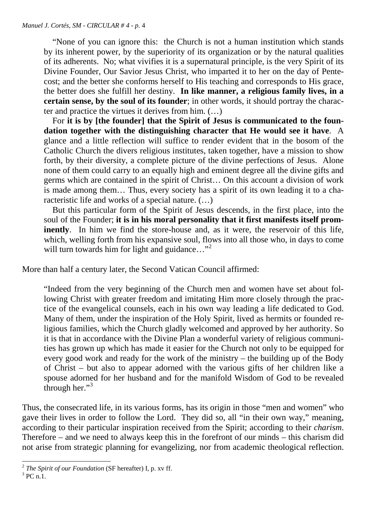"None of you can ignore this: the Church is not a human institution which stands by its inherent power, by the superiority of its organization or by the natural qualities of its adherents. No; what vivifies it is a supernatural principle, is the very Spirit of its Divine Founder, Our Savior Jesus Christ, who imparted it to her on the day of Pentecost; and the better she conforms herself to His teaching and corresponds to His grace, the better does she fulfill her destiny. **In like manner, a religious family lives, in a certain sense, by the soul of its founder**; in other words, it should portray the character and practice the virtues it derives from him. (…)

 For **it is by [the founder] that the Spirit of Jesus is communicated to the foundation together with the distinguishing character that He would see it have**. A glance and a little reflection will suffice to render evident that in the bosom of the Catholic Church the divers religious institutes, taken together, have a mission to show forth, by their diversity, a complete picture of the divine perfections of Jesus. Alone none of them could carry to an equally high and eminent degree all the divine gifts and germs which are contained in the spirit of Christ… On this account a division of work is made among them… Thus, every society has a spirit of its own leading it to a characteristic life and works of a special nature. (…)

 But this particular form of the Spirit of Jesus descends, in the first place, into the soul of the Founder; **it is in his moral personality that it first manifests itself prominently**. In him we find the store-house and, as it were, the reservoir of this life, which, welling forth from his expansive soul, flows into all those who, in days to come will turn towards him for light and guidance..."<sup>[2](#page-3-0)</sup>

More than half a century later, the Second Vatican Council affirmed:

"Indeed from the very beginning of the Church men and women have set about following Christ with greater freedom and imitating Him more closely through the practice of the evangelical counsels, each in his own way leading a life dedicated to God. Many of them, under the inspiration of the Holy Spirit, lived as hermits or founded religious families, which the Church gladly welcomed and approved by her authority. So it is that in accordance with the Divine Plan a wonderful variety of religious communities has grown up which has made it easier for the Church not only to be equipped for every good work and ready for the work of the ministry – the building up of the Body of Christ – but also to appear adorned with the various gifts of her children like a spouse adorned for her husband and for the manifold Wisdom of God to be revealed through her." $3$ 

Thus, the consecrated life, in its various forms, has its origin in those "men and women" who gave their lives in order to follow the Lord. They did so, all "in their own way," meaning, according to their particular inspiration received from the Spirit; according to their *charism*. Therefore – and we need to always keep this in the forefront of our minds – this charism did not arise from strategic planning for evangelizing, nor from academic theological reflection.

<span id="page-3-0"></span><sup>-</sup><sup>2</sup> *The Spirit of our Foundation* (SF hereafter) I, p. xv ff.

<span id="page-3-1"></span> $3$  PC n.1.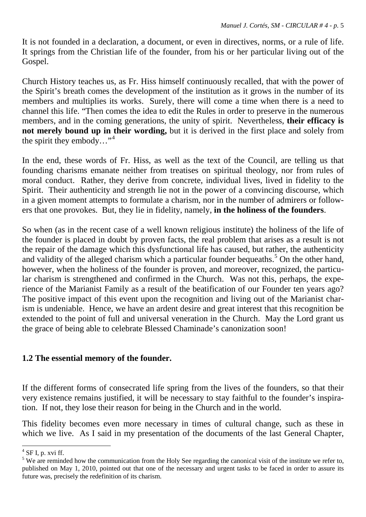It is not founded in a declaration, a document, or even in directives, norms, or a rule of life. It springs from the Christian life of the founder, from his or her particular living out of the Gospel.

Church History teaches us, as Fr. Hiss himself continuously recalled, that with the power of the Spirit's breath comes the development of the institution as it grows in the number of its members and multiplies its works. Surely, there will come a time when there is a need to channel this life. "Then comes the idea to edit the Rules in order to preserve in the numerous members, and in the coming generations, the unity of spirit. Nevertheless, **their efficacy is not merely bound up in their wording,** but it is derived in the first place and solely from the spirit they embody..."<sup>[4](#page-4-0)</sup>

In the end, these words of Fr. Hiss, as well as the text of the Council, are telling us that founding charisms emanate neither from treatises on spiritual theology, nor from rules of moral conduct. Rather, they derive from concrete, individual lives, lived in fidelity to the Spirit. Their authenticity and strength lie not in the power of a convincing discourse, which in a given moment attempts to formulate a charism, nor in the number of admirers or followers that one provokes. But, they lie in fidelity, namely, **in the holiness of the founders**.

So when (as in the recent case of a well known religious institute) the holiness of the life of the founder is placed in doubt by proven facts, the real problem that arises as a result is not the repair of the damage which this dysfunctional life has caused, but rather, the authenticity and validity of the alleged charism which a particular founder bequeaths.<sup>[5](#page-4-1)</sup> On the other hand, however, when the holiness of the founder is proven, and moreover, recognized, the particular charism is strengthened and confirmed in the Church. Was not this, perhaps, the experience of the Marianist Family as a result of the beatification of our Founder ten years ago? The positive impact of this event upon the recognition and living out of the Marianist charism is undeniable. Hence, we have an ardent desire and great interest that this recognition be extended to the point of full and universal veneration in the Church. May the Lord grant us the grace of being able to celebrate Blessed Chaminade's canonization soon!

#### **1.2 The essential memory of the founder.**

If the different forms of consecrated life spring from the lives of the founders, so that their very existence remains justified, it will be necessary to stay faithful to the founder's inspiration. If not, they lose their reason for being in the Church and in the world.

This fidelity becomes even more necessary in times of cultural change, such as these in which we live. As I said in my presentation of the documents of the last General Chapter,

 $4$  SF I, p. xvi ff.

<span id="page-4-1"></span><span id="page-4-0"></span> $5$  We are reminded how the communication from the Holy See regarding the canonical visit of the institute we refer to, published on May 1, 2010, pointed out that one of the necessary and urgent tasks to be faced in order to assure its future was, precisely the redefinition of its charism.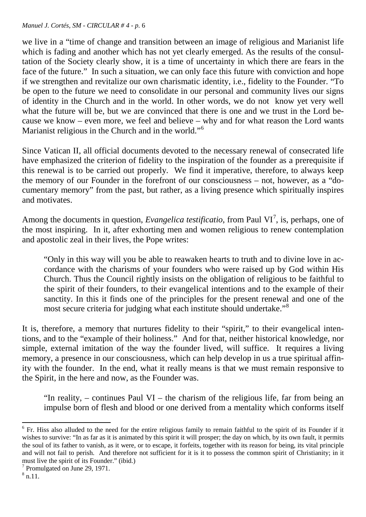we live in a "time of change and transition between an image of religious and Marianist life which is fading and another which has not yet clearly emerged. As the results of the consultation of the Society clearly show, it is a time of uncertainty in which there are fears in the face of the future." In such a situation, we can only face this future with conviction and hope if we strengthen and revitalize our own charismatic identity, i.e., fidelity to the Founder. "To be open to the future we need to consolidate in our personal and community lives our signs of identity in the Church and in the world. In other words, we do not know yet very well what the future will be, but we are convinced that there is one and we trust in the Lord because we know – even more, we feel and believe – why and for what reason the Lord wants Marianist religious in the Church and in the world."<sup>[6](#page-5-0)</sup>

Since Vatican II, all official documents devoted to the necessary renewal of consecrated life have emphasized the criterion of fidelity to the inspiration of the founder as a prerequisite if this renewal is to be carried out properly. We find it imperative, therefore, to always keep the memory of our Founder in the forefront of our consciousness – not, however, as a "documentary memory" from the past, but rather, as a living presence which spiritually inspires and motivates.

Among the documents in question, *Evangelica testificatio*, from Paul VI<sup>[7](#page-5-1)</sup>, is, perhaps, one of the most inspiring. In it, after exhorting men and women religious to renew contemplation and apostolic zeal in their lives, the Pope writes:

"Only in this way will you be able to reawaken hearts to truth and to divine love in accordance with the charisms of your founders who were raised up by God within His Church. Thus the Council rightly insists on the obligation of religious to be faithful to the spirit of their founders, to their evangelical intentions and to the example of their sanctity. In this it finds one of the principles for the present renewal and one of the most secure criteria for judging what each institute should undertake."[8](#page-5-2)

It is, therefore, a memory that nurtures fidelity to their "spirit," to their evangelical intentions, and to the "example of their holiness." And for that, neither historical knowledge, nor simple, external imitation of the way the founder lived, will suffice. It requires a living memory, a presence in our consciousness, which can help develop in us a true spiritual affinity with the founder. In the end, what it really means is that we must remain responsive to the Spirit, in the here and now, as the Founder was.

"In reality,  $-$  continues Paul VI  $-$  the charism of the religious life, far from being an impulse born of flesh and blood or one derived from a mentality which conforms itself

<u>.</u>

<span id="page-5-0"></span><sup>&</sup>lt;sup>6</sup> Fr. Hiss also alluded to the need for the entire religious family to remain faithful to the spirit of its Founder if it wishes to survive: "In as far as it is animated by this spirit it will prosper; the day on which, by its own fault, it permits the soul of its father to vanish, as it were, or to escape, it forfeits, together with its reason for being, its vital principle and will not fail to perish. And therefore not sufficient for it is it to possess the common spirit of Christianity; in it must live the spirit of its Founder." (ibid.)

<span id="page-5-1"></span><sup>7</sup> Promulgated on June 29, 1971.

<span id="page-5-2"></span> $^8$  n.11.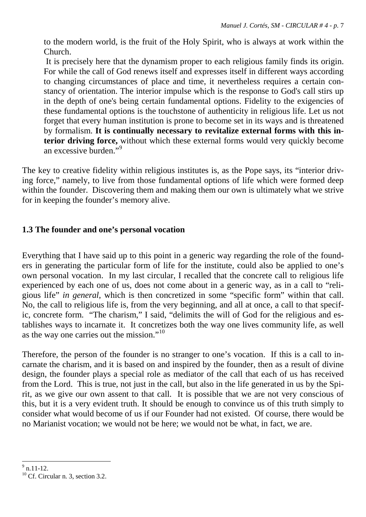to the modern world, is the fruit of the Holy Spirit, who is always at work within the Church.

It is precisely here that the dynamism proper to each religious family finds its origin. For while the call of God renews itself and expresses itself in different ways according to changing circumstances of place and time, it nevertheless requires a certain constancy of orientation. The interior impulse which is the response to God's call stirs up in the depth of one's being certain fundamental options. Fidelity to the exigencies of these fundamental options is the touchstone of authenticity in religious life. Let us not forget that every human institution is prone to become set in its ways and is threatened by formalism. **It is continually necessary to revitalize external forms with this interior driving force,** without which these external forms would very quickly become an excessive burden."<sup>[9](#page-6-0)</sup>

The key to creative fidelity within religious institutes is, as the Pope says, its "interior driving force," namely, to live from those fundamental options of life which were formed deep within the founder. Discovering them and making them our own is ultimately what we strive for in keeping the founder's memory alive.

#### **1.3 The founder and one's personal vocation**

Everything that I have said up to this point in a generic way regarding the role of the founders in generating the particular form of life for the institute, could also be applied to one's own personal vocation. In my last circular, I recalled that the concrete call to religious life experienced by each one of us, does not come about in a generic way, as in a call to "religious life" *in general*, which is then concretized in some "specific form" within that call. No, the call to religious life is, from the very beginning, and all at once, a call to that specific, concrete form. "The charism," I said, "delimits the will of God for the religious and establishes ways to incarnate it. It concretizes both the way one lives community life, as well as the way one carries out the mission."[10](#page-6-1)

Therefore, the person of the founder is no stranger to one's vocation. If this is a call to incarnate the charism, and it is based on and inspired by the founder, then as a result of divine design, the founder plays a special role as mediator of the call that each of us has received from the Lord. This is true, not just in the call, but also in the life generated in us by the Spirit, as we give our own assent to that call. It is possible that we are not very conscious of this, but it is a very evident truth. It should be enough to convince us of this truth simply to consider what would become of us if our Founder had not existed. Of course, there would be no Marianist vocation; we would not be here; we would not be what, in fact, we are.

<span id="page-6-0"></span> $\frac{9}{9}$  n.11-12.

<span id="page-6-1"></span> $10$  Cf. Circular n. 3, section 3.2.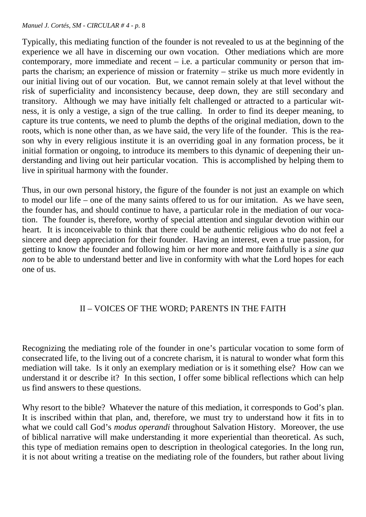Typically, this mediating function of the founder is not revealed to us at the beginning of the experience we all have in discerning our own vocation. Other mediations which are more contemporary, more immediate and recent  $-$  i.e. a particular community or person that imparts the charism; an experience of mission or fraternity – strike us much more evidently in our initial living out of our vocation. But, we cannot remain solely at that level without the risk of superficiality and inconsistency because, deep down, they are still secondary and transitory. Although we may have initially felt challenged or attracted to a particular witness, it is only a vestige, a sign of the true calling. In order to find its deeper meaning, to capture its true contents, we need to plumb the depths of the original mediation, down to the roots, which is none other than, as we have said, the very life of the founder. This is the reason why in every religious institute it is an overriding goal in any formation process, be it initial formation or ongoing, to introduce its members to this dynamic of deepening their understanding and living out heir particular vocation. This is accomplished by helping them to live in spiritual harmony with the founder.

Thus, in our own personal history, the figure of the founder is not just an example on which to model our life – one of the many saints offered to us for our imitation. As we have seen, the founder has, and should continue to have, a particular role in the mediation of our vocation. The founder is, therefore, worthy of special attention and singular devotion within our heart. It is inconceivable to think that there could be authentic religious who do not feel a sincere and deep appreciation for their founder. Having an interest, even a true passion, for getting to know the founder and following him or her more and more faithfully is a *sine qua non* to be able to understand better and live in conformity with what the Lord hopes for each one of us.

#### II – VOICES OF THE WORD; PARENTS IN THE FAITH

Recognizing the mediating role of the founder in one's particular vocation to some form of consecrated life, to the living out of a concrete charism, it is natural to wonder what form this mediation will take. Is it only an exemplary mediation or is it something else? How can we understand it or describe it? In this section, I offer some biblical reflections which can help us find answers to these questions.

Why resort to the bible? Whatever the nature of this mediation, it corresponds to God's plan. It is inscribed within that plan, and, therefore, we must try to understand how it fits in to what we could call God's *modus operandi* throughout Salvation History. Moreover, the use of biblical narrative will make understanding it more experiential than theoretical. As such, this type of mediation remains open to description in theological categories. In the long run, it is not about writing a treatise on the mediating role of the founders, but rather about living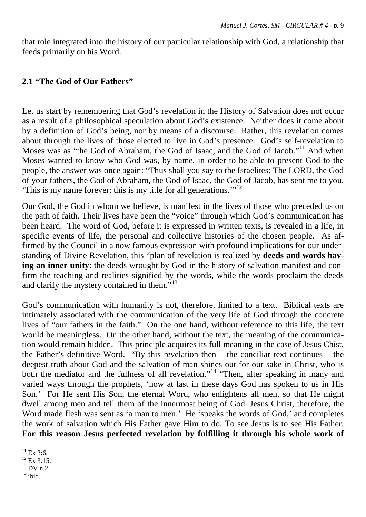that role integrated into the history of our particular relationship with God, a relationship that feeds primarily on his Word.

#### **2.1 "The God of Our Fathers"**

Let us start by remembering that God's revelation in the History of Salvation does not occur as a result of a philosophical speculation about God's existence. Neither does it come about by a definition of God's being, nor by means of a discourse. Rather, this revelation comes about through the lives of those elected to live in God's presence. God's self-revelation to Moses was as "the God of Abraham, the God of Isaac, and the God of Jacob."<sup>[11](#page-8-0)</sup> And when Moses wanted to know who God was, by name, in order to be able to present God to the people, the answer was once again: "Thus shall you say to the Israelites: The LORD, the God of your fathers, the God of Abraham, the God of Isaac, the God of Jacob, has sent me to you. 'This is my name forever; this is my title for all generations.'"[12](#page-8-1)

Our God, the God in whom we believe, is manifest in the lives of those who preceded us on the path of faith. Their lives have been the "voice" through which God's communication has been heard. The word of God, before it is expressed in written texts, is revealed in a life, in specific events of life, the personal and collective histories of the chosen people. As affirmed by the Council in a now famous expression with profound implications for our understanding of Divine Revelation, this "plan of revelation is realized by **deeds and words having an inner unity**: the deeds wrought by God in the history of salvation manifest and confirm the teaching and realities signified by the words, while the words proclaim the deeds and clarify the mystery contained in them."<sup>13</sup>

God's communication with humanity is not, therefore, limited to a text. Biblical texts are intimately associated with the communication of the very life of God through the concrete lives of "our fathers in the faith." On the one hand, without reference to this life, the text would be meaningless. On the other hand, without the text, the meaning of the communication would remain hidden. This principle acquires its full meaning in the case of Jesus Chist, the Father's definitive Word. "By this revelation then – the conciliar text continues – the deepest truth about God and the salvation of man shines out for our sake in Christ, who is both the mediator and the fullness of all revelation."<sup>[14](#page-8-3)</sup> "Then, after speaking in many and varied ways through the prophets, 'now at last in these days God has spoken to us in His Son.' For He sent His Son, the eternal Word, who enlightens all men, so that He might dwell among men and tell them of the innermost being of God. Jesus Christ, therefore, the Word made flesh was sent as 'a man to men.' He 'speaks the words of God,' and completes the work of salvation which His Father gave Him to do. To see Jesus is to see His Father. **For this reason Jesus perfected revelation by fulfilling it through his whole work of** 

<sup>&</sup>lt;u>.</u>  $^{11}$  Ex 3:6.

<span id="page-8-1"></span><span id="page-8-0"></span><sup>&</sup>lt;sup>12</sup> Ex 3:15.

<span id="page-8-2"></span> $13$  DV n.2.

<span id="page-8-3"></span> $14$  ibid.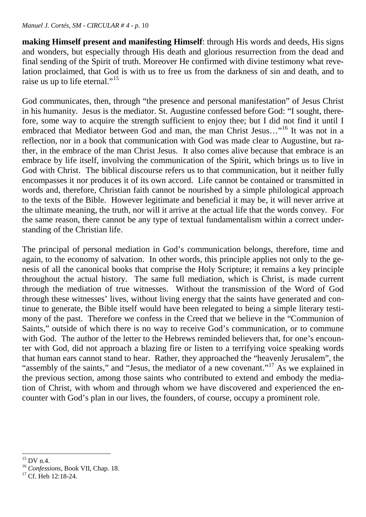**making Himself present and manifesting Himself**: through His words and deeds, His signs and wonders, but especially through His death and glorious resurrection from the dead and final sending of the Spirit of truth. Moreover He confirmed with divine testimony what revelation proclaimed, that God is with us to free us from the darkness of sin and death, and to raise us up to life eternal."<sup>[15](#page-9-0)</sup>

God communicates, then, through "the presence and personal manifestation" of Jesus Christ in his humanity. Jesus is the mediator. St. Augustine confessed before God: "I sought, therefore, some way to acquire the strength sufficient to enjoy thee; but I did not find it until I embraced that Mediator between God and man, the man Christ Jesus…"[16](#page-9-1) It was not in a reflection, nor in a book that communication with God was made clear to Augustine, but rather, in the embrace of the man Christ Jesus. It also comes alive because that embrace is an embrace by life itself, involving the communication of the Spirit, which brings us to live in God with Christ. The biblical discourse refers us to that communication, but it neither fully encompasses it nor produces it of its own accord. Life cannot be contained or transmitted in words and, therefore, Christian faith cannot be nourished by a simple philological approach to the texts of the Bible. However legitimate and beneficial it may be, it will never arrive at the ultimate meaning, the truth, nor will it arrive at the actual life that the words convey. For the same reason, there cannot be any type of textual fundamentalism within a correct understanding of the Christian life.

The principal of personal mediation in God's communication belongs, therefore, time and again, to the economy of salvation. In other words, this principle applies not only to the genesis of all the canonical books that comprise the Holy Scripture; it remains a key principle throughout the actual history. The same full mediation, which is Christ, is made current through the mediation of true witnesses. Without the transmission of the Word of God through these witnesses' lives, without living energy that the saints have generated and continue to generate, the Bible itself would have been relegated to being a simple literary testimony of the past. Therefore we confess in the Creed that we believe in the "Communion of Saints," outside of which there is no way to receive God's communication, or to commune with God. The author of the letter to the Hebrews reminded believers that, for one's encounter with God, did not approach a blazing fire or listen to a terrifying voice speaking words that human ears cannot stand to hear. Rather, they approached the "heavenly Jerusalem", the "assembly of the saints," and "Jesus, the mediator of a new covenant."<sup>[17](#page-9-2)</sup> As we explained in the previous section, among those saints who contributed to extend and embody the mediation of Christ, with whom and through whom we have discovered and experienced the encounter with God's plan in our lives, the founders, of course, occupy a prominent role.

<span id="page-9-0"></span><sup>&</sup>lt;u>.</u>  $^{15}$  DV n.4.

<span id="page-9-1"></span><sup>16</sup> *Confessions*, Book VII, Chap. 18.

<span id="page-9-2"></span> $17 \text{ Cf}$  Heb  $12.18-24$ .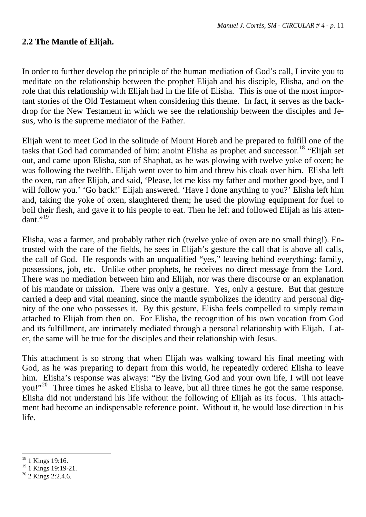#### **2.2 The Mantle of Elijah.**

In order to further develop the principle of the human mediation of God's call, I invite you to meditate on the relationship between the prophet Elijah and his disciple, Elisha, and on the role that this relationship with Elijah had in the life of Elisha. This is one of the most important stories of the Old Testament when considering this theme. In fact, it serves as the backdrop for the New Testament in which we see the relationship between the disciples and Jesus, who is the supreme mediator of the Father.

Elijah went to meet God in the solitude of Mount Horeb and he prepared to fulfill one of the tasks that God had commanded of him: anoint Elisha as prophet and successor.<sup>[18](#page-10-0)</sup> "Elijah set out, and came upon Elisha, son of Shaphat, as he was plowing with twelve yoke of oxen; he was following the twelfth. Elijah went over to him and threw his cloak over him. Elisha left the oxen, ran after Elijah, and said, 'Please, let me kiss my father and mother good-bye, and I will follow you.' 'Go back!' Elijah answered. 'Have I done anything to you?' Elisha left him and, taking the yoke of oxen, slaughtered them; he used the plowing equipment for fuel to boil their flesh, and gave it to his people to eat. Then he left and followed Elijah as his attendant." $^{19}$  $^{19}$  $^{19}$ 

Elisha, was a farmer, and probably rather rich (twelve yoke of oxen are no small thing!). Entrusted with the care of the fields, he sees in Elijah's gesture the call that is above all calls, the call of God. He responds with an unqualified "yes," leaving behind everything: family, possessions, job, etc. Unlike other prophets, he receives no direct message from the Lord. There was no mediation between him and Elijah, nor was there discourse or an explanation of his mandate or mission. There was only a gesture. Yes, only a gesture. But that gesture carried a deep and vital meaning, since the mantle symbolizes the identity and personal dignity of the one who possesses it. By this gesture, Elisha feels compelled to simply remain attached to Elijah from then on. For Elisha, the recognition of his own vocation from God and its fulfillment, are intimately mediated through a personal relationship with Elijah. Later, the same will be true for the disciples and their relationship with Jesus.

This attachment is so strong that when Elijah was walking toward his final meeting with God, as he was preparing to depart from this world, he repeatedly ordered Elisha to leave him. Elisha's response was always: "By the living God and your own life, I will not leave you!"<sup>20</sup> Three times he asked Elisha to leave, but all three times he got the same response. Elisha did not understand his life without the following of Elijah as its focus. This attachment had become an indispensable reference point. Without it, he would lose direction in his life.

<u>.</u>

<span id="page-10-0"></span><sup>1</sup> Kings 19:16.

<span id="page-10-1"></span><sup>&</sup>lt;sup>19</sup> 1 Kings 19:19-21.

<span id="page-10-2"></span> $20$  2 Kings 2:2.4.6.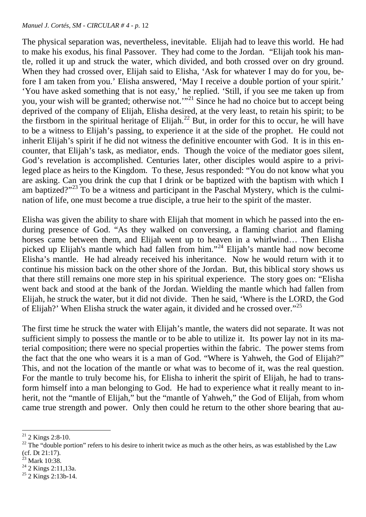The physical separation was, nevertheless, inevitable. Elijah had to leave this world. He had to make his exodus, his final Passover. They had come to the Jordan. "Elijah took his mantle, rolled it up and struck the water, which divided, and both crossed over on dry ground. When they had crossed over, Elijah said to Elisha, 'Ask for whatever I may do for you, before I am taken from you.' Elisha answered, 'May I receive a double portion of your spirit.' 'You have asked something that is not easy,' he replied. 'Still, if you see me taken up from you, your wish will be granted; otherwise not.'"[21](#page-11-0) Since he had no choice but to accept being deprived of the company of Elijah, Elisha desired, at the very least, to retain his spirit; to be the firstborn in the spiritual heritage of Elijah.<sup>[22](#page-11-1)</sup> But, in order for this to occur, he will have to be a witness to Elijah's passing, to experience it at the side of the prophet. He could not inherit Elijah's spirit if he did not witness the definitive encounter with God. It is in this encounter, that Elijah's task, as mediator, ends. Though the voice of the mediator goes silent, God's revelation is accomplished. Centuries later, other disciples would aspire to a privileged place as heirs to the Kingdom. To these, Jesus responded: "You do not know what you are asking. Can you drink the cup that I drink or be baptized with the baptism with which I am baptized?"[23](#page-11-2) To be a witness and participant in the Paschal Mystery, which is the culmination of life, one must become a true disciple, a true heir to the spirit of the master.

Elisha was given the ability to share with Elijah that moment in which he passed into the enduring presence of God. "As they walked on conversing, a flaming chariot and flaming horses came between them, and Elijah went up to heaven in a whirlwind… Then Elisha picked up Elijah's mantle which had fallen from him."[24](#page-11-3) Elijah's mantle had now become Elisha's mantle. He had already received his inheritance. Now he would return with it to continue his mission back on the other shore of the Jordan. But, this biblical story shows us that there still remains one more step in his spiritual experience. The story goes on: "Elisha went back and stood at the bank of the Jordan. Wielding the mantle which had fallen from Elijah, he struck the water, but it did not divide. Then he said, 'Where is the LORD, the God of Elijah?' When Elisha struck the water again, it divided and he crossed over."[25](#page-11-4) 

The first time he struck the water with Elijah's mantle, the waters did not separate. It was not sufficient simply to possess the mantle or to be able to utilize it. Its power lay not in its material composition; there were no special properties within the fabric. The power stems from the fact that the one who wears it is a man of God. "Where is Yahweh, the God of Elijah?" This, and not the location of the mantle or what was to become of it, was the real question. For the mantle to truly become his, for Elisha to inherit the spirit of Elijah, he had to transform himself into a man belonging to God. He had to experience what it really meant to inherit, not the "mantle of Elijah," but the "mantle of Yahweh," the God of Elijah, from whom came true strength and power. Only then could he return to the other shore bearing that au-

<span id="page-11-2"></span>Mark 10:38.

<sup>-</sup> $21$  2 Kings 2:8-10.

<span id="page-11-1"></span><span id="page-11-0"></span> $22$  The "double portion" refers to his desire to inherit twice as much as the other heirs, as was established by the Law (cf. Dt 21:17).

<span id="page-11-3"></span><sup>&</sup>lt;sup>24</sup> 2 Kings 2:11,13a.

<span id="page-11-4"></span> $25$  2 Kings 2:13b-14.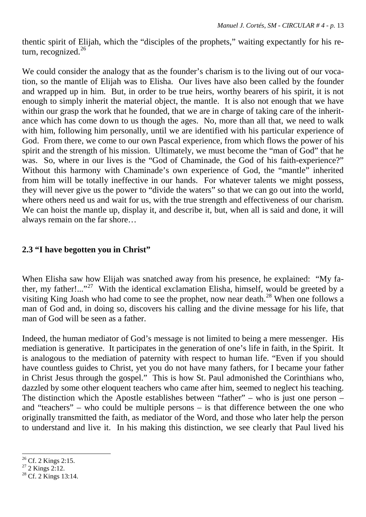thentic spirit of Elijah, which the "disciples of the prophets," waiting expectantly for his re-turn, recognized.<sup>[26](#page-12-0)</sup>

We could consider the analogy that as the founder's charism is to the living out of our vocation, so the mantle of Elijah was to Elisha. Our lives have also been called by the founder and wrapped up in him. But, in order to be true heirs, worthy bearers of his spirit, it is not enough to simply inherit the material object, the mantle. It is also not enough that we have within our grasp the work that he founded, that we are in charge of taking care of the inheritance which has come down to us though the ages. No, more than all that, we need to walk with him, following him personally, until we are identified with his particular experience of God. From there, we come to our own Pascal experience, from which flows the power of his spirit and the strength of his mission. Ultimately, we must become the "man of God" that he was. So, where in our lives is the "God of Chaminade, the God of his faith-experience?" Without this harmony with Chaminade's own experience of God, the "mantle" inherited from him will be totally ineffective in our hands. For whatever talents we might possess, they will never give us the power to "divide the waters" so that we can go out into the world, where others need us and wait for us, with the true strength and effectiveness of our charism. We can hoist the mantle up, display it, and describe it, but, when all is said and done, it will always remain on the far shore…

#### **2.3 "I have begotten you in Christ"**

When Elisha saw how Elijah was snatched away from his presence, he explained: "My father, my father!..."<sup>27</sup> With the identical exclamation Elisha, himself, would be greeted by a visiting King Joash who had come to see the prophet, now near death.<sup>[28](#page-12-2)</sup> When one follows a man of God and, in doing so, discovers his calling and the divine message for his life, that man of God will be seen as a father.

Indeed, the human mediator of God's message is not limited to being a mere messenger. His mediation is generative. It participates in the generation of one's life in faith, in the Spirit. It is analogous to the mediation of paternity with respect to human life. "Even if you should have countless guides to Christ, yet you do not have many fathers, for I became your father in Christ Jesus through the gospel." This is how St. Paul admonished the Corinthians who, dazzled by some other eloquent teachers who came after him, seemed to neglect his teaching. The distinction which the Apostle establishes between "father" – who is just one person – and "teachers" – who could be multiple persons – is that difference between the one who originally transmitted the faith, as mediator of the Word, and those who later help the person to understand and live it. In his making this distinction, we see clearly that Paul lived his

<sup>&</sup>lt;u>.</u>  $26$  Cf. 2 Kings 2:15.

<span id="page-12-1"></span><span id="page-12-0"></span> $27$  2 Kings 2:12.

<span id="page-12-2"></span> $28$  Cf. 2 Kings 13:14.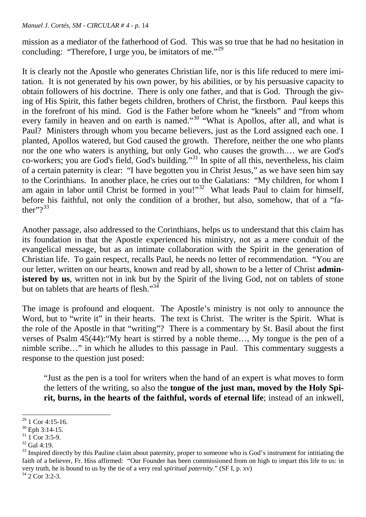mission as a mediator of the fatherhood of God. This was so true that he had no hesitation in concluding: "Therefore, I urge you, be imitators of me."<sup>29</sup>

It is clearly not the Apostle who generates Christian life, nor is this life reduced to mere imitation. It is not generated by his own power, by his abilities, or by his persuasive capacity to obtain followers of his doctrine. There is only one father, and that is God. Through the giving of His Spirit, this father begets children, brothers of Christ, the firstborn. Paul keeps this in the forefront of his mind. God is the Father before whom he "kneels" and "from whom every family in heaven and on earth is named."<sup>[30](#page-13-1)</sup> "What is Apollos, after all, and what is Paul? Ministers through whom you became believers, just as the Lord assigned each one. I planted, Apollos watered, but God caused the growth. Therefore, neither the one who plants nor the one who waters is anything, but only God, who causes the growth.… we are God's co-workers; you are God's field, God's building."[31](#page-13-2) In spite of all this, nevertheless, his claim of a certain paternity is clear: "I have begotten you in Christ Jesus," as we have seen him say to the Corinthians. In another place, he cries out to the Galatians: "My children, for whom I am again in labor until Christ be formed in you!"<sup>32</sup> What leads Paul to claim for himself, before his faithful, not only the condition of a brother, but also, somehow, that of a "father" $?^{33}$ 

Another passage, also addressed to the Corinthians, helps us to understand that this claim has its foundation in that the Apostle experienced his ministry, not as a mere conduit of the evangelical message, but as an intimate collaboration with the Spirit in the generation of Christian life. To gain respect, recalls Paul, he needs no letter of recommendation. "You are our letter, written on our hearts, known and read by all, shown to be a letter of Christ **administered by us**, written not in ink but by the Spirit of the living God, not on tablets of stone but on tablets that are hearts of flesh."<sup>34</sup>

The image is profound and eloquent. The Apostle's ministry is not only to announce the Word, but to "write it" in their hearts. The text is Christ. The writer is the Spirit. What is the role of the Apostle in that "writing"? There is a commentary by St. Basil about the first verses of Psalm 45(44):"My heart is stirred by a noble theme…, My tongue is the pen of a nimble scribe…" in which he alludes to this passage in Paul. This commentary suggests a response to the question just posed:

"Just as the pen is a tool for writers when the hand of an expert is what moves to form the letters of the writing, so also the **tongue of the just man, moved by the Holy Spirit, burns, in the hearts of the faithful, words of eternal life**; instead of an inkwell,

<sup>&</sup>lt;u>.</u>  $29$  1 Cor 4:15-16.

<span id="page-13-1"></span><span id="page-13-0"></span><sup>30</sup> Eph 3:14-15.

<span id="page-13-2"></span> $31 \overline{1}$  Cor 3:5-9.

<span id="page-13-3"></span> $32$  Gal 4:19.

<span id="page-13-4"></span><sup>&</sup>lt;sup>33</sup> Inspired directly by this Pauline claim about paternity, proper to someone who is God's instrument for intitiating the faith of a believer, Fr. Hiss affirmed: "Our Founder has been commissioned from on high to impart this life to us: in very truth, he is bound to us by the tie of a very real *spiritual paternity*." (SF I, p. xv)

<span id="page-13-5"></span> $34$  2 Cor 3:2-3.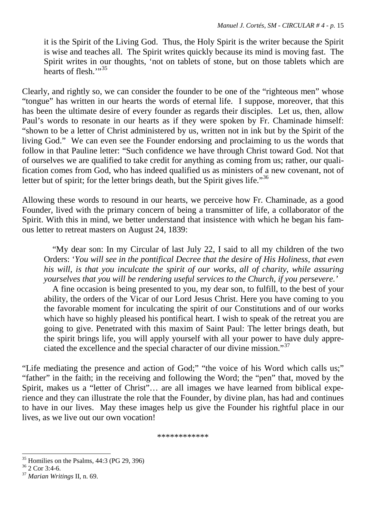it is the Spirit of the Living God. Thus, the Holy Spirit is the writer because the Spirit is wise and teaches all. The Spirit writes quickly because its mind is moving fast. The Spirit writes in our thoughts, 'not on tablets of stone, but on those tablets which are hearts of flesh $\cdot$ "<sup>35</sup>

Clearly, and rightly so, we can consider the founder to be one of the "righteous men" whose "tongue" has written in our hearts the words of eternal life. I suppose, moreover, that this has been the ultimate desire of every founder as regards their disciples. Let us, then, allow Paul's words to resonate in our hearts as if they were spoken by Fr. Chaminade himself: "shown to be a letter of Christ administered by us, written not in ink but by the Spirit of the living God." We can even see the Founder endorsing and proclaiming to us the words that follow in that Pauline letter: "Such confidence we have through Christ toward God. Not that of ourselves we are qualified to take credit for anything as coming from us; rather, our qualification comes from God, who has indeed qualified us as ministers of a new covenant, not of letter but of spirit; for the letter brings death, but the Spirit gives life."<sup>[36](#page-14-1)</sup>

Allowing these words to resound in our hearts, we perceive how Fr. Chaminade, as a good Founder, lived with the primary concern of being a transmitter of life, a collaborator of the Spirit. With this in mind, we better understand that insistence with which he began his famous letter to retreat masters on August 24, 1839:

 "My dear son: In my Circular of last July 22, I said to all my children of the two Orders: '*You will see in the pontifical Decree that the desire of His Holiness, that even his will, is that you inculcate the spirit of our works, all of charity, while assuring yourselves that you will be rendering useful services to the Church, if you persevere.'*

 A fine occasion is being presented to you, my dear son, to fulfill, to the best of your ability, the orders of the Vicar of our Lord Jesus Christ. Here you have coming to you the favorable moment for inculcating the spirit of our Constitutions and of our works which have so highly pleased his pontifical heart. I wish to speak of the retreat you are going to give. Penetrated with this maxim of Saint Paul: The letter brings death, but the spirit brings life, you will apply yourself with all your power to have duly appreciated the excellence and the special character of our divine mission."[37](#page-14-2)

"Life mediating the presence and action of God;" "the voice of his Word which calls us;" "father" in the faith; in the receiving and following the Word; the "pen" that, moved by the Spirit, makes us a "letter of Christ"… are all images we have learned from biblical experience and they can illustrate the role that the Founder, by divine plan, has had and continues to have in our lives. May these images help us give the Founder his rightful place in our lives, as we live out our own vocation!

\*\*\*\*\*\*\*\*\*\*\*\*

<u>.</u>

<span id="page-14-0"></span> $35$  Homilies on the Psalms, 44:3 (PG 29, 396)

<span id="page-14-1"></span> $36$  2 Cor 3:4-6.

<span id="page-14-2"></span><sup>37</sup> *Marian Writings* II, n. 69.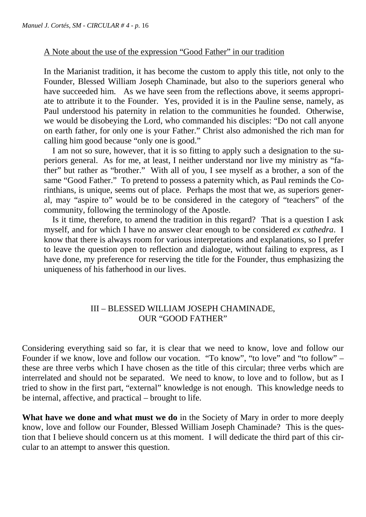#### A Note about the use of the expression "Good Father" in our tradition

In the Marianist tradition, it has become the custom to apply this title, not only to the Founder, Blessed William Joseph Chaminade, but also to the superiors general who have succeeded him. As we have seen from the reflections above, it seems appropriate to attribute it to the Founder. Yes, provided it is in the Pauline sense, namely, as Paul understood his paternity in relation to the communities he founded. Otherwise, we would be disobeying the Lord, who commanded his disciples: "Do not call anyone on earth father, for only one is your Father." Christ also admonished the rich man for calling him good because "only one is good."

 I am not so sure, however, that it is so fitting to apply such a designation to the superiors general. As for me, at least, I neither understand nor live my ministry as "father" but rather as "brother." With all of you, I see myself as a brother, a son of the same "Good Father." To pretend to possess a paternity which, as Paul reminds the Corinthians, is unique, seems out of place. Perhaps the most that we, as superiors general, may "aspire to" would be to be considered in the category of "teachers" of the community, following the terminology of the Apostle.

 Is it time, therefore, to amend the tradition in this regard? That is a question I ask myself, and for which I have no answer clear enough to be considered *ex cathedra*. I know that there is always room for various interpretations and explanations, so I prefer to leave the question open to reflection and dialogue, without failing to express, as I have done, my preference for reserving the title for the Founder, thus emphasizing the uniqueness of his fatherhood in our lives.

#### III – BLESSED WILLIAM JOSEPH CHAMINADE, OUR "GOOD FATHER"

Considering everything said so far, it is clear that we need to know, love and follow our Founder if we know, love and follow our vocation. "To know", "to love" and "to follow" – these are three verbs which I have chosen as the title of this circular; three verbs which are interrelated and should not be separated. We need to know, to love and to follow, but as I tried to show in the first part, "external" knowledge is not enough. This knowledge needs to be internal, affective, and practical – brought to life.

**What have we done and what must we do** in the Society of Mary in order to more deeply know, love and follow our Founder, Blessed William Joseph Chaminade? This is the question that I believe should concern us at this moment. I will dedicate the third part of this circular to an attempt to answer this question.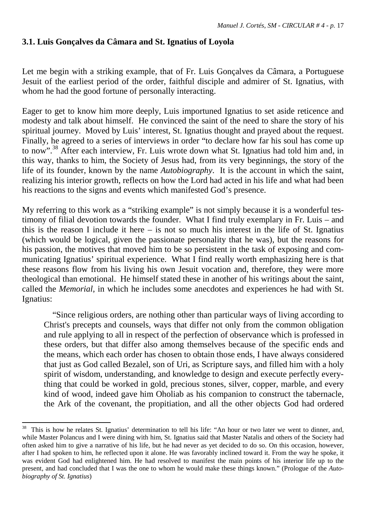## **3.1. Luis Gonçalves da Câmara and St. Ignatius of Loyola**

Let me begin with a striking example, that of Fr. Luis Gonçalves da Câmara, a Portuguese Jesuit of the earliest period of the order, faithful disciple and admirer of St. Ignatius, with whom he had the good fortune of personally interacting.

Eager to get to know him more deeply, Luis importuned Ignatius to set aside reticence and modesty and talk about himself. He convinced the saint of the need to share the story of his spiritual journey. Moved by Luis' interest, St. Ignatius thought and prayed about the request. Finally, he agreed to a series of interviews in order "to declare how far his soul has come up to now".<sup>[38](#page-16-0)</sup> After each interview, Fr. Luis wrote down what St. Ignatius had told him and, in this way, thanks to him, the Society of Jesus had, from its very beginnings, the story of the life of its founder, known by the name *Autobiography*. It is the account in which the saint, realizing his interior growth, reflects on how the Lord had acted in his life and what had been his reactions to the signs and events which manifested God's presence.

My referring to this work as a "striking example" is not simply because it is a wonderful testimony of filial devotion towards the founder. What I find truly exemplary in Fr. Luis – and this is the reason I include it here – is not so much his interest in the life of St. Ignatius (which would be logical, given the passionate personality that he was), but the reasons for his passion, the motives that moved him to be so persistent in the task of exposing and communicating Ignatius' spiritual experience. What I find really worth emphasizing here is that these reasons flow from his living his own Jesuit vocation and, therefore, they were more theological than emotional. He himself stated these in another of his writings about the saint, called the *Memorial*, in which he includes some anecdotes and experiences he had with St. Ignatius:

 "Since religious orders, are nothing other than particular ways of living according to Christ's precepts and counsels, ways that differ not only from the common obligation and rule applying to all in respect of the perfection of observance which is professed in these orders, but that differ also among themselves because of the specific ends and the means, which each order has chosen to obtain those ends, I have always considered that just as God called Bezalel, son of Uri, as Scripture says, and filled him with a holy spirit of wisdom, understanding, and knowledge to design and execute perfectly everything that could be worked in gold, precious stones, silver, copper, marble, and every kind of wood, indeed gave him Oholiab as his companion to construct the tabernacle, the Ark of the covenant, the propitiation, and all the other objects God had ordered

<u>.</u>

<span id="page-16-0"></span><sup>&</sup>lt;sup>38</sup> This is how he relates St. Ignatius' determination to tell his life: "An hour or two later we went to dinner, and, while Master Polancus and I were dining with him, St. Ignatius said that Master Natalis and others of the Society had often asked him to give a narrative of his life, but he had never as yet decided to do so. On this occasion, however, after I had spoken to him, he reflected upon it alone. He was favorably inclined toward it. From the way he spoke, it was evident God had enlightened him. He had resolved to manifest the main points of his interior life up to the present, and had concluded that I was the one to whom he would make these things known." (Prologue of the *Autobiography of St. Ignatius*)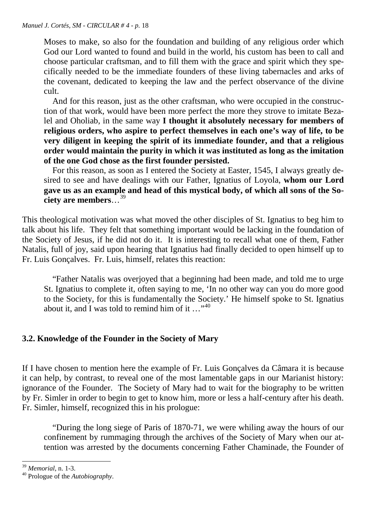Moses to make, so also for the foundation and building of any religious order which God our Lord wanted to found and build in the world, his custom has been to call and choose particular craftsman, and to fill them with the grace and spirit which they specifically needed to be the immediate founders of these living tabernacles and arks of the covenant, dedicated to keeping the law and the perfect observance of the divine cult.

 And for this reason, just as the other craftsman, who were occupied in the construction of that work, would have been more perfect the more they strove to imitate Bezalel and Oholiab, in the same way **I thought it absolutely necessary for members of religious orders, who aspire to perfect themselves in each one's way of life, to be very diligent in keeping the spirit of its immediate founder, and that a religious order would maintain the purity in which it was instituted as long as the imitation of the one God chose as the first founder persisted.** 

 For this reason, as soon as I entered the Society at Easter, 1545, I always greatly desired to see and have dealings with our Father, Ignatius of Loyola, **whom our Lord gave us as an example and head of this mystical body, of which all sons of the Society are members**…[39](#page-17-0)

This theological motivation was what moved the other disciples of St. Ignatius to beg him to talk about his life. They felt that something important would be lacking in the foundation of the Society of Jesus, if he did not do it. It is interesting to recall what one of them, Father Natalis, full of joy, said upon hearing that Ignatius had finally decided to open himself up to Fr. Luis Gonçalves. Fr. Luis, himself, relates this reaction:

 "Father Natalis was overjoyed that a beginning had been made, and told me to urge St. Ignatius to complete it, often saying to me, 'In no other way can you do more good to the Society, for this is fundamentally the Society.' He himself spoke to St. Ignatius about it, and I was told to remind him of it  $\ldots$ <sup>[40](#page-17-1)</sup>

## **3.2. Knowledge of the Founder in the Society of Mary**

If I have chosen to mention here the example of Fr. Luis Gonçalves da Câmara it is because it can help, by contrast, to reveal one of the most lamentable gaps in our Marianist history: ignorance of the Founder. The Society of Mary had to wait for the biography to be written by Fr. Simler in order to begin to get to know him, more or less a half-century after his death. Fr. Simler, himself, recognized this in his prologue:

 "During the long siege of Paris of 1870-71, we were whiling away the hours of our confinement by rummaging through the archives of the Society of Mary when our attention was arrested by the documents concerning Father Chaminade, the Founder of

<sup>-</sup><sup>39</sup> *Memorial*, n. 1-3.

<span id="page-17-1"></span><span id="page-17-0"></span><sup>40</sup> Prologue of the *Autobiography*.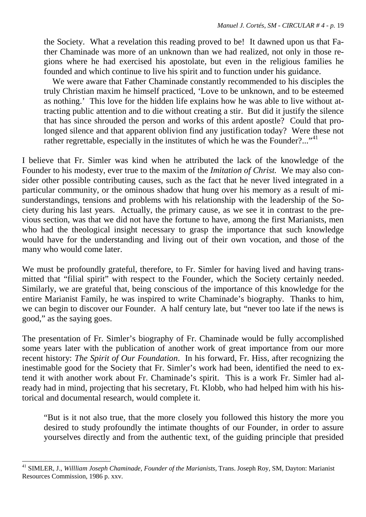the Society. What a revelation this reading proved to be! It dawned upon us that Father Chaminade was more of an unknown than we had realized, not only in those regions where he had exercised his apostolate, but even in the religious families he founded and which continue to live his spirit and to function under his guidance.

 We were aware that Father Chaminade constantly recommended to his disciples the truly Christian maxim he himself practiced, 'Love to be unknown, and to be esteemed as nothing.' This love for the hidden life explains how he was able to live without attracting public attention and to die without creating a stir. But did it justify the silence that has since shrouded the person and works of this ardent apostle? Could that prolonged silence and that apparent oblivion find any justification today? Were these not rather regrettable, especially in the institutes of which he was the Founder?..."<sup>[41](#page-18-0)</sup>

I believe that Fr. Simler was kind when he attributed the lack of the knowledge of the Founder to his modesty, ever true to the maxim of the *Imitation of Christ.* We may also consider other possible contributing causes, such as the fact that he never lived integrated in a particular community, or the ominous shadow that hung over his memory as a result of misunderstandings, tensions and problems with his relationship with the leadership of the Society during his last years. Actually, the primary cause, as we see it in contrast to the previous section, was that we did not have the fortune to have, among the first Marianists, men who had the theological insight necessary to grasp the importance that such knowledge would have for the understanding and living out of their own vocation, and those of the many who would come later.

We must be profoundly grateful, therefore, to Fr. Simler for having lived and having transmitted that "filial spirit" with respect to the Founder, which the Society certainly needed. Similarly, we are grateful that, being conscious of the importance of this knowledge for the entire Marianist Family, he was inspired to write Chaminade's biography. Thanks to him, we can begin to discover our Founder. A half century late, but "never too late if the news is good," as the saying goes.

The presentation of Fr. Simler's biography of Fr. Chaminade would be fully accomplished some years later with the publication of another work of great importance from our more recent history: *The Spirit of Our Foundation*. In his forward, Fr. Hiss, after recognizing the inestimable good for the Society that Fr. Simler's work had been, identified the need to extend it with another work about Fr. Chaminade's spirit. This is a work Fr. Simler had already had in mind, projecting that his secretary, Ft. Klobb, who had helped him with his historical and documental research, would complete it.

"But is it not also true, that the more closely you followed this history the more you desired to study profoundly the intimate thoughts of our Founder, in order to assure yourselves directly and from the authentic text, of the guiding principle that presided

<span id="page-18-0"></span><sup>-</sup><sup>41</sup> SIMLER, J., *Willliam Joseph Chaminade, Founder of the Marianists,* Trans. Joseph Roy, SM, Dayton: Marianist Resources Commission, 1986 p. xxv.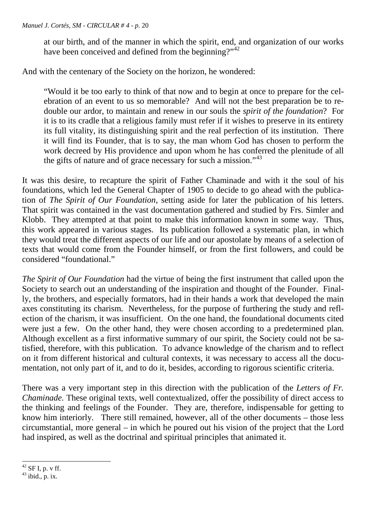at our birth, and of the manner in which the spirit, end, and organization of our works have been conceived and defined from the beginning?" $42$ 

And with the centenary of the Society on the horizon, he wondered:

"Would it be too early to think of that now and to begin at once to prepare for the celebration of an event to us so memorable? And will not the best preparation be to redouble our ardor, to maintain and renew in our souls the *spirit of the foundation*? For it is to its cradle that a religious family must refer if it wishes to preserve in its entirety its full vitality, its distinguishing spirit and the real perfection of its institution. There it will find its Founder, that is to say, the man whom God has chosen to perform the work decreed by His providence and upon whom he has conferred the plenitude of all the gifts of nature and of grace necessary for such a mission."<sup>[43](#page-19-1)</sup>

It was this desire, to recapture the spirit of Father Chaminade and with it the soul of his foundations, which led the General Chapter of 1905 to decide to go ahead with the publication of *The Spirit of Our Foundation*, setting aside for later the publication of his letters. That spirit was contained in the vast documentation gathered and studied by Frs. Simler and Klobb. They attempted at that point to make this information known in some way. Thus, this work appeared in various stages. Its publication followed a systematic plan, in which they would treat the different aspects of our life and our apostolate by means of a selection of texts that would come from the Founder himself, or from the first followers, and could be considered "foundational."

*The Spirit of Our Foundation* had the virtue of being the first instrument that called upon the Society to search out an understanding of the inspiration and thought of the Founder. Finally, the brothers, and especially formators, had in their hands a work that developed the main axes constituting its charism. Nevertheless, for the purpose of furthering the study and reflection of the charism, it was insufficient. On the one hand, the foundational documents cited were just a few. On the other hand, they were chosen according to a predetermined plan. Although excellent as a first informative summary of our spirit, the Society could not be satisfied, therefore, with this publication. To advance knowledge of the charism and to reflect on it from different historical and cultural contexts, it was necessary to access all the documentation, not only part of it, and to do it, besides, according to rigorous scientific criteria.

There was a very important step in this direction with the publication of the *Letters of Fr. Chaminade.* These original texts, well contextualized, offer the possibility of direct access to the thinking and feelings of the Founder. They are, therefore, indispensable for getting to know him interiorly. There still remained, however, all of the other documents – those less circumstantial, more general – in which he poured out his vision of the project that the Lord had inspired, as well as the doctrinal and spiritual principles that animated it.

<span id="page-19-0"></span> $42$  SF I, p, y ff.

<span id="page-19-1"></span> $43$  ibid., p. ix.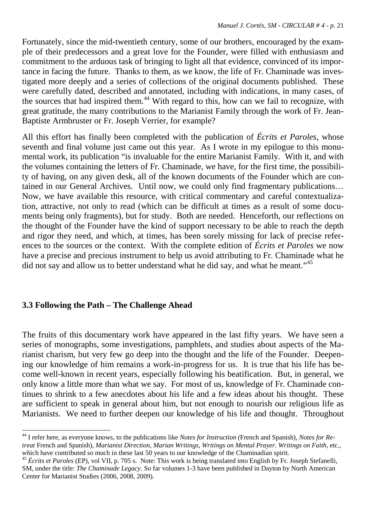Fortunately, since the mid-twentieth century, some of our brothers, encouraged by the example of their predecessors and a great love for the Founder, were filled with enthusiasm and commitment to the arduous task of bringing to light all that evidence, convinced of its importance in facing the future. Thanks to them, as we know, the life of Fr. Chaminade was investigated more deeply and a series of collections of the original documents published. These were carefully dated, described and annotated, including with indications, in many cases, of the sources that had inspired them.<sup>[44](#page-20-0)</sup> With regard to this, how can we fail to recognize, with great gratitude, the many contributions to the Marianist Family through the work of Fr. Jean-Baptiste Armbruster or Fr. Joseph Verrier, for example?

All this effort has finally been completed with the publication of *Écrits et Paroles*, whose seventh and final volume just came out this year. As I wrote in my epilogue to this monumental work, its publication "is invaluable for the entire Marianist Family. With it, and with the volumes containing the letters of Fr. Chaminade, we have, for the first time, the possibility of having, on any given desk, all of the known documents of the Founder which are contained in our General Archives. Until now, we could only find fragmentary publications… Now, we have available this resource, with critical commentary and careful contextualization, attractive, not only to read (which can be difficult at times as a result of some documents being only fragments), but for study. Both are needed. Henceforth, our reflections on the thought of the Founder have the kind of support necessary to be able to reach the depth and rigor they need, and which, at times, has been sorely missing for lack of precise references to the sources or the context. With the complete edition of *Écrits et Paroles* we now have a precise and precious instrument to help us avoid attributing to Fr. Chaminade what he did not say and allow us to better understand what he did say, and what he meant."<sup>[45](#page-20-1)</sup>

#### **3.3 Following the Path – The Challenge Ahead**

-

The fruits of this documentary work have appeared in the last fifty years. We have seen a series of monographs, some investigations, pamphlets, and studies about aspects of the Marianist charism, but very few go deep into the thought and the life of the Founder. Deepening our knowledge of him remains a work-in-progress for us. It is true that his life has become well-known in recent years, especially following his beatification. But, in general, we only know a little more than what we say. For most of us, knowledge of Fr. Chaminade continues to shrink to a few anecdotes about his life and a few ideas about his thought. These are sufficient to speak in general about him, but not enough to nourish our religious life as Marianists. We need to further deepen our knowledge of his life and thought. Throughout

<span id="page-20-0"></span><sup>44</sup> I refer here, as everyone knows, to the publications like *Notes for Instruction (*French and Spanish)*, Notes for Retreat* French and Spanish)*, Marianist Direction, Marian Writings, Writings on Mental Prayer. Writings on Faith,* etc., which have contributed so much in these last 50 years to our knowledge of the Chaminadian spirit.

<span id="page-20-1"></span><sup>&</sup>lt;sup>45</sup> Écrits et Paroles (EP), vol VII, p. 705 s. Note: This work is being translated into English by Fr. Joseph Stefanelli, SM, under the title: *The Chaminade Legacy.* So far volumes 1-3 have been published in Dayton by North American Center for Marianist Studies (2006, 2008, 2009).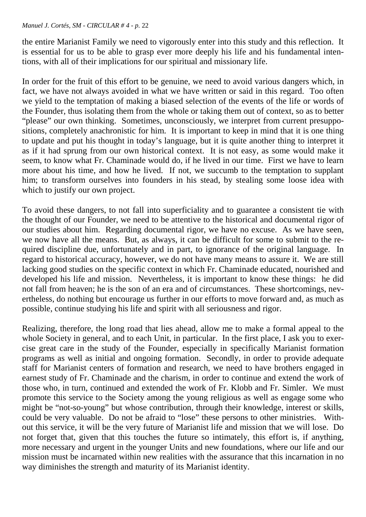the entire Marianist Family we need to vigorously enter into this study and this reflection. It is essential for us to be able to grasp ever more deeply his life and his fundamental intentions, with all of their implications for our spiritual and missionary life.

In order for the fruit of this effort to be genuine, we need to avoid various dangers which, in fact, we have not always avoided in what we have written or said in this regard. Too often we yield to the temptation of making a biased selection of the events of the life or words of the Founder, thus isolating them from the whole or taking them out of context, so as to better "please" our own thinking. Sometimes, unconsciously, we interpret from current presuppositions, completely anachronistic for him. It is important to keep in mind that it is one thing to update and put his thought in today's language, but it is quite another thing to interpret it as if it had sprung from our own historical context. It is not easy, as some would make it seem, to know what Fr. Chaminade would do, if he lived in our time. First we have to learn more about his time, and how he lived. If not, we succumb to the temptation to supplant him; to transform ourselves into founders in his stead, by stealing some loose idea with which to justify our own project.

To avoid these dangers, to not fall into superficiality and to guarantee a consistent tie with the thought of our Founder, we need to be attentive to the historical and documental rigor of our studies about him. Regarding documental rigor, we have no excuse. As we have seen, we now have all the means. But, as always, it can be difficult for some to submit to the required discipline due, unfortunately and in part, to ignorance of the original language. In regard to historical accuracy, however, we do not have many means to assure it. We are still lacking good studies on the specific context in which Fr. Chaminade educated, nourished and developed his life and mission. Nevertheless, it is important to know these things: he did not fall from heaven; he is the son of an era and of circumstances. These shortcomings, nevertheless, do nothing but encourage us further in our efforts to move forward and, as much as possible, continue studying his life and spirit with all seriousness and rigor.

Realizing, therefore, the long road that lies ahead, allow me to make a formal appeal to the whole Society in general, and to each Unit, in particular. In the first place, I ask you to exercise great care in the study of the Founder, especially in specifically Marianist formation programs as well as initial and ongoing formation. Secondly, in order to provide adequate staff for Marianist centers of formation and research, we need to have brothers engaged in earnest study of Fr. Chaminade and the charism, in order to continue and extend the work of those who, in turn, continued and extended the work of Fr. Klobb and Fr. Simler. We must promote this service to the Society among the young religious as well as engage some who might be "not-so-young" but whose contribution, through their knowledge, interest or skills, could be very valuable. Do not be afraid to "lose" these persons to other ministries. Without this service, it will be the very future of Marianist life and mission that we will lose. Do not forget that, given that this touches the future so intimately, this effort is, if anything, more necessary and urgent in the younger Units and new foundations, where our life and our mission must be incarnated within new realities with the assurance that this incarnation in no way diminishes the strength and maturity of its Marianist identity.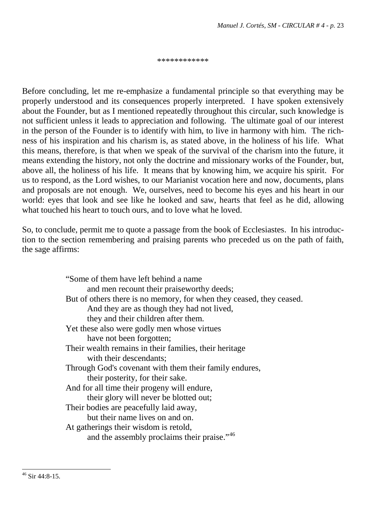\*\*\*\*\*\*\*\*\*\*\*\*

Before concluding, let me re-emphasize a fundamental principle so that everything may be properly understood and its consequences properly interpreted. I have spoken extensively about the Founder, but as I mentioned repeatedly throughout this circular, such knowledge is not sufficient unless it leads to appreciation and following. The ultimate goal of our interest in the person of the Founder is to identify with him, to live in harmony with him. The richness of his inspiration and his charism is, as stated above, in the holiness of his life. What this means, therefore, is that when we speak of the survival of the charism into the future, it means extending the history, not only the doctrine and missionary works of the Founder, but, above all, the holiness of his life. It means that by knowing him, we acquire his spirit. For us to respond, as the Lord wishes, to our Marianist vocation here and now, documents, plans and proposals are not enough. We, ourselves, need to become his eyes and his heart in our world: eyes that look and see like he looked and saw, hearts that feel as he did, allowing what touched his heart to touch ours, and to love what he loved.

So, to conclude, permit me to quote a passage from the book of Ecclesiastes. In his introduction to the section remembering and praising parents who preceded us on the path of faith, the sage affirms:

<span id="page-22-0"></span>

| "Some of them have left behind a name"                               |
|----------------------------------------------------------------------|
| and men recount their praiseworthy deeds;                            |
| But of others there is no memory, for when they ceased, they ceased. |
| And they are as though they had not lived,                           |
| they and their children after them.                                  |
| Yet these also were godly men whose virtues                          |
| have not been forgotten;                                             |
| Their wealth remains in their families, their heritage               |
| with their descendants;                                              |
| Through God's covenant with them their family endures,               |
| their posterity, for their sake.                                     |
| And for all time their progeny will endure,                          |
| their glory will never be blotted out;                               |
| Their bodies are peacefully laid away,                               |
| but their name lives on and on.                                      |
| At gatherings their wisdom is retold,                                |
| and the assembly proclaims their praise." <sup>46</sup>              |